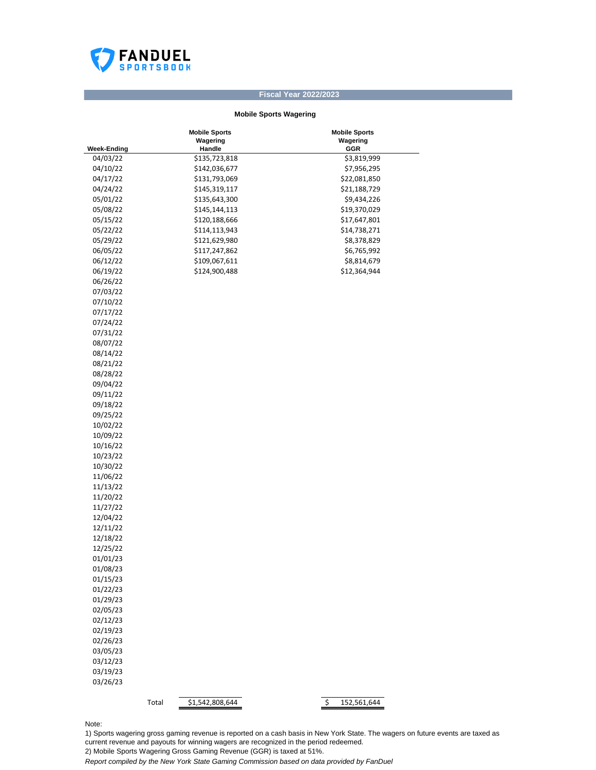

## **Fiscal Year 2022/2023**

## **Mobile Sports Wagering**

|                                | <b>Mobile Sports</b><br>Wagering<br>Handle | <b>Mobile Sports</b><br>Wagering<br>GGR |
|--------------------------------|--------------------------------------------|-----------------------------------------|
| <b>Week-Ending</b><br>04/03/22 | \$135,723,818                              | \$3,819,999                             |
| 04/10/22                       | \$142,036,677                              | \$7,956,295                             |
| 04/17/22                       | \$131,793,069                              | \$22,081,850                            |
| 04/24/22                       | \$145,319,117                              | \$21,188,729                            |
|                                |                                            |                                         |
| 05/01/22                       | \$135,643,300                              | \$9,434,226                             |
| 05/08/22                       | \$145,144,113                              | \$19,370,029                            |
| 05/15/22                       | \$120,188,666                              | \$17,647,801                            |
| 05/22/22                       | \$114,113,943                              | \$14,738,271                            |
| 05/29/22                       | \$121,629,980                              | \$8,378,829                             |
| 06/05/22                       | \$117,247,862                              | \$6,765,992                             |
| 06/12/22                       | \$109,067,611                              | \$8,814,679                             |
| 06/19/22                       | \$124,900,488                              | \$12,364,944                            |
| 06/26/22                       |                                            |                                         |
| 07/03/22                       |                                            |                                         |
| 07/10/22                       |                                            |                                         |
| 07/17/22                       |                                            |                                         |
| 07/24/22                       |                                            |                                         |
| 07/31/22                       |                                            |                                         |
| 08/07/22                       |                                            |                                         |
| 08/14/22                       |                                            |                                         |
| 08/21/22                       |                                            |                                         |
| 08/28/22                       |                                            |                                         |
| 09/04/22                       |                                            |                                         |
| 09/11/22                       |                                            |                                         |
| 09/18/22                       |                                            |                                         |
| 09/25/22                       |                                            |                                         |
| 10/02/22                       |                                            |                                         |
| 10/09/22                       |                                            |                                         |
| 10/16/22                       |                                            |                                         |
| 10/23/22                       |                                            |                                         |
| 10/30/22                       |                                            |                                         |
| 11/06/22                       |                                            |                                         |
| 11/13/22                       |                                            |                                         |
| 11/20/22                       |                                            |                                         |
| 11/27/22                       |                                            |                                         |
| 12/04/22                       |                                            |                                         |
| 12/11/22                       |                                            |                                         |
| 12/18/22                       |                                            |                                         |
| 12/25/22                       |                                            |                                         |
| 01/01/23                       |                                            |                                         |
| 01/08/23                       |                                            |                                         |
| 01/15/23                       |                                            |                                         |
| 01/22/23                       |                                            |                                         |
| 01/29/23                       |                                            |                                         |
| 02/05/23                       |                                            |                                         |
| 02/12/23                       |                                            |                                         |
| 02/19/23                       |                                            |                                         |
| 02/26/23                       |                                            |                                         |
| 03/05/23                       |                                            |                                         |
| 03/12/23                       |                                            |                                         |
| 03/19/23                       |                                            |                                         |
| 03/26/23                       |                                            |                                         |
|                                |                                            |                                         |
|                                | \$1,542,808,644<br>Total                   | $\overline{\mathbf{S}}$<br>152,561,644  |

Note:

1) Sports wagering gross gaming revenue is reported on a cash basis in New York State. The wagers on future events are taxed as current revenue and payouts for winning wagers are recognized in the period redeemed. 2) Mobile Sports Wagering Gross Gaming Revenue (GGR) is taxed at 51%.

*Report compiled by the New York State Gaming Commission based on data provided by FanDuel*